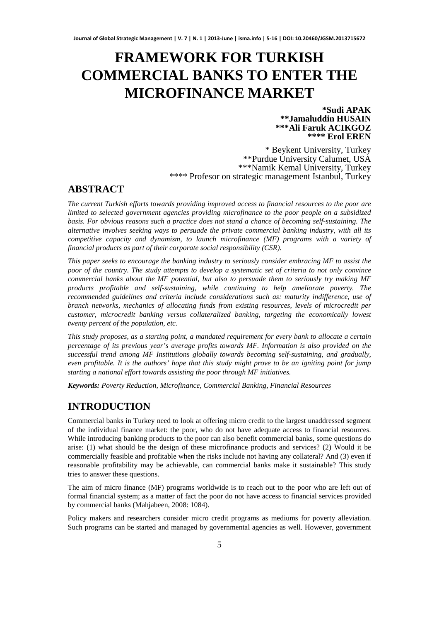# **FRAMEWORK FOR TURKISH COMMERCIAL BANKS TO ENTER THE MICROFINANCE MARKET**

**\*Sudi APAK \*\*Jamaluddin HUSAIN \*\*\*Ali Faruk ACIKGOZ \*\*\*\* Erol EREN** 

\* Beykent University, Turkey \*\*Purdue University Calumet, USA \*\*\*Namik Kemal University, Turkey \*\*\*\* Profesor on strategic management Istanbul, Turkey

# **ABSTRACT**

*The current Turkish efforts towards providing improved access to financial resources to the poor are limited to selected government agencies providing microfinance to the poor people on a subsidized basis. For obvious reasons such a practice does not stand a chance of becoming self-sustaining. The alternative involves seeking ways to persuade the private commercial banking industry, with all its competitive capacity and dynamism, to launch microfinance (MF) programs with a variety of financial products as part of their corporate social responsibility (CSR).* 

*This paper seeks to encourage the banking industry to seriously consider embracing MF to assist the poor of the country. The study attempts to develop a systematic set of criteria to not only convince commercial banks about the MF potential, but also to persuade them to seriously try making MF products profitable and self-sustaining, while continuing to help ameliorate poverty. The recommended guidelines and criteria include considerations such as: maturity indifference, use of branch networks, mechanics of allocating funds from existing resources, levels of microcredit per customer, microcredit banking versus collateralized banking, targeting the economically lowest twenty percent of the population, etc.* 

*This study proposes, as a starting point, a mandated requirement for every bank to allocate a certain percentage of its previous year's average profits towards MF. Information is also provided on the successful trend among MF Institutions globally towards becoming self-sustaining, and gradually, even profitable. It is the authors' hope that this study might prove to be an igniting point for jump starting a national effort towards assisting the poor through MF initiatives.* 

*Keywords: Poverty Reduction, Microfinance, Commercial Banking, Financial Resources*

# **INTRODUCTION**

Commercial banks in Turkey need to look at offering micro credit to the largest unaddressed segment of the individual finance market: the poor, who do not have adequate access to financial resources. While introducing banking products to the poor can also benefit commercial banks, some questions do arise: (1) what should be the design of these microfinance products and services? (2) Would it be commercially feasible and profitable when the risks include not having any collateral? And (3) even if reasonable profitability may be achievable, can commercial banks make it sustainable? This study tries to answer these questions.

The aim of micro finance (MF) programs worldwide is to reach out to the poor who are left out of formal financial system; as a matter of fact the poor do not have access to financial services provided by commercial banks (Mahjabeen, 2008: 1084).

Policy makers and researchers consider micro credit programs as mediums for poverty alleviation. Such programs can be started and managed by governmental agencies as well. However, government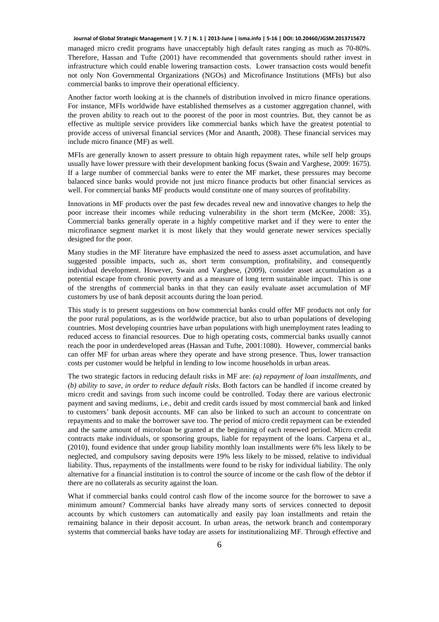managed micro credit programs have unacceptably high default rates ranging as much as 70-80%. Therefore, Hassan and Tufte (2001) have recommended that governments should rather invest in infrastructure which could enable lowering transaction costs. Lower transaction costs would benefit not only Non Governmental Organizations (NGOs) and Microfinance Institutions (MFIs) but also commercial banks to improve their operational efficiency.

Another factor worth looking at is the channels of distribution involved in micro finance operations. For instance, MFIs worldwide have established themselves as a customer aggregation channel, with the proven ability to reach out to the poorest of the poor in most countries. But, they cannot be as effective as multiple service providers like commercial banks which have the greatest potential to provide access of universal financial services (Mor and Ananth, 2008). These financial services may include micro finance (MF) as well.

MFIs are generally known to assert pressure to obtain high repayment rates, while self help groups usually have lower pressure with their development banking focus (Swain and Varghese, 2009: 1675). If a large number of commercial banks were to enter the MF market, these pressures may become balanced since banks would provide not just micro finance products but other financial services as well. For commercial banks MF products would constitute one of many sources of profitability.

Innovations in MF products over the past few decades reveal new and innovative changes to help the poor increase their incomes while reducing vulnerability in the short term (McKee, 2008: 35). Commercial banks generally operate in a highly competitive market and if they were to enter the microfinance segment market it is most likely that they would generate newer services specially designed for the poor.

Many studies in the MF literature have emphasized the need to assess asset accumulation, and have suggested possible impacts, such as, short term consumption, profitability, and consequently individual development. However, Swain and Varghese, (2009), consider asset accumulation as a potential escape from chronic poverty and as a measure of long term sustainable impact. This is one of the strengths of commercial banks in that they can easily evaluate asset accumulation of MF customers by use of bank deposit accounts during the loan period.

This study is to present suggestions on how commercial banks could offer MF products not only for the poor rural populations, as is the worldwide practice, but also to urban populations of developing countries. Most developing countries have urban populations with high unemployment rates leading to reduced access to financial resources. Due to high operating costs, commercial banks usually cannot reach the poor in underdeveloped areas (Hassan and Tufte, 2001:1080). However, commercial banks can offer MF for urban areas where they operate and have strong presence. Thus, lower transaction costs per customer would be helpful in lending to low income households in urban areas.

The two strategic factors in reducing default risks in MF are: *(a) repayment of loan installments, and (b) ability to save, in order to reduce default risks*. Both factors can be handled if income created by micro credit and savings from such income could be controlled. Today there are various electronic payment and saving mediums, i.e., debit and credit cards issued by most commercial bank and linked to customers' bank deposit accounts. MF can also be linked to such an account to concentrate on repayments and to make the borrower save too. The period of micro credit repayment can be extended and the same amount of microloan be granted at the beginning of each renewed period. Micro credit contracts make individuals, or sponsoring groups, liable for repayment of the loans. Carpena et al., (2010), found evidence that under group liability monthly loan installments were 6% less likely to be neglected, and compulsory saving deposits were 19% less likely to be missed, relative to individual liability. Thus, repayments of the installments were found to be risky for individual liability. The only alternative for a financial institution is to control the source of income or the cash flow of the debtor if there are no collaterals as security against the loan.

What if commercial banks could control cash flow of the income source for the borrower to save a minimum amount? Commercial banks have already many sorts of services connected to deposit accounts by which customers can automatically and easily pay loan installments and retain the remaining balance in their deposit account. In urban areas, the network branch and contemporary systems that commercial banks have today are assets for institutionalizing MF. Through effective and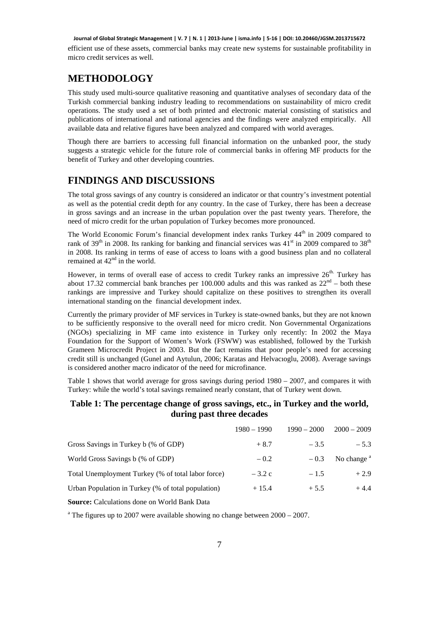efficient use of these assets, commercial banks may create new systems for sustainable profitability in micro credit services as well.

# **METHODOLOGY**

This study used multi-source qualitative reasoning and quantitative analyses of secondary data of the Turkish commercial banking industry leading to recommendations on sustainability of micro credit operations. The study used a set of both printed and electronic material consisting of statistics and publications of international and national agencies and the findings were analyzed empirically. All available data and relative figures have been analyzed and compared with world averages.

Though there are barriers to accessing full financial information on the unbanked poor, the study suggests a strategic vehicle for the future role of commercial banks in offering MF products for the benefit of Turkey and other developing countries.

# **FINDINGS AND DISCUSSIONS**

The total gross savings of any country is considered an indicator or that country's investment potential as well as the potential credit depth for any country. In the case of Turkey, there has been a decrease in gross savings and an increase in the urban population over the past twenty years. Therefore, the need of micro credit for the urban population of Turkey becomes more pronounced.

The World Economic Forum's financial development index ranks Turkey 44<sup>th</sup> in 2009 compared to rank of 39<sup>th</sup> in 2008. Its ranking for banking and financial services was  $41<sup>st</sup>$  in 2009 compared to 38<sup>th</sup> in 2008. Its ranking in terms of ease of access to loans with a good business plan and no collateral remained at  $42<sup>nd</sup>$  in the world.

However, in terms of overall ease of access to credit Turkey ranks an impressive  $26<sup>th</sup>$ . Turkey has about 17.32 commercial bank branches per 100.000 adults and this was ranked as  $22<sup>nd</sup>$  – both these rankings are impressive and Turkey should capitalize on these positives to strengthen its overall international standing on the financial development index.

Currently the primary provider of MF services in Turkey is state-owned banks, but they are not known to be sufficiently responsive to the overall need for micro credit. Non Governmental Organizations (NGOs) specializing in MF came into existence in Turkey only recently: In 2002 the Maya Foundation for the Support of Women's Work (FSWW) was established, followed by the Turkish Grameen Microcredit Project in 2003. But the fact remains that poor people's need for accessing credit still is unchanged (Gunel and Aytulun, 2006; Karatas and Helvacıoglu, 2008). Average savings is considered another macro indicator of the need for microfinance.

Table 1 shows that world average for gross savings during period 1980 – 2007, and compares it with Turkey: while the world's total savings remained nearly constant, that of Turkey went down.

## **Table 1: The percentage change of gross savings, etc., in Turkey and the world, during past three decades**

|                                                    | $1980 - 1990$ | $1990 - 2000$ | $2000 - 2009$ |
|----------------------------------------------------|---------------|---------------|---------------|
| Gross Savings in Turkey b (% of GDP)               | $+8.7$        | $-3.5$        | $-5.3$        |
| World Gross Savings b (% of GDP)                   | $-0.2$        | $-0.3$        | No change $a$ |
| Total Unemployment Turkey (% of total labor force) | $-3.2c$       | $-1.5$        | $+2.9$        |
| Urban Population in Turkey (% of total population) | $+15.4$       | $+5.5$        | $+4.4$        |
|                                                    |               |               |               |

**Source:** Calculations done on World Bank Data

<sup>a</sup> The figures up to 2007 were available showing no change between  $2000 - 2007$ .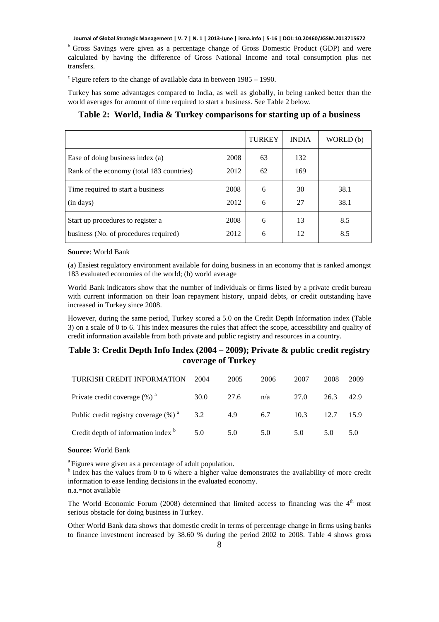<sup>b</sup> Gross Savings were given as a percentage change of Gross Domestic Product (GDP) and were calculated by having the difference of Gross National Income and total consumption plus net transfers.

 $\textdegree$  Figure refers to the change of available data in between 1985 – 1990.

Turkey has some advantages compared to India, as well as globally, in being ranked better than the world averages for amount of time required to start a business. See Table 2 below.

|                                           |      | <b>TURKEY</b> | <b>INDIA</b> | WORLD (b) |
|-------------------------------------------|------|---------------|--------------|-----------|
| Ease of doing business index (a)          | 2008 | 63            | 132          |           |
| Rank of the economy (total 183 countries) | 2012 | 62            | 169          |           |
| Time required to start a business         | 2008 | 6             | 30           | 38.1      |
| (in days)                                 | 2012 | 6             | 27           | 38.1      |
| Start up procedures to register a         | 2008 | 6             | 13           | 8.5       |
| business (No. of procedures required)     | 2012 | 6             | 12           | 8.5       |

## **Table 2: World, India & Turkey comparisons for starting up of a business**

#### **Source**: World Bank

(a) Easiest regulatory environment available for doing business in an economy that is ranked amongst 183 evaluated economies of the world; (b) world average

World Bank indicators show that the number of individuals or firms listed by a private credit bureau with current information on their loan repayment history, unpaid debts, or credit outstanding have increased in Turkey since 2008.

However, during the same period, Turkey scored a 5.0 on the Credit Depth Information index (Table 3) on a scale of 0 to 6. This index measures the rules that affect the scope, accessibility and quality of credit information available from both private and public registry and resources in a country.

# **Table 3: Credit Depth Info Index (2004 – 2009); Private & public credit registry coverage of Turkey**

| TURKISH CREDIT INFORMATION                   | 2004 | 2005 | 2006 | 2007 | 2008 | 2009 |
|----------------------------------------------|------|------|------|------|------|------|
| Private credit coverage $(\%)$ <sup>a</sup>  | 30.0 | 27.6 | n/a  | 27.0 | 26.3 | 42.9 |
| Public credit registry coverage $(\%)^a$ 3.2 |      | 4.9  | 6.7  | 10.3 | 12.7 | 15.9 |
| Credit depth of information index b          | 5.0  | 5.0  | 5.0  | 5.0  | 5.0  | 5.0  |

#### **Source:** World Bank

<sup>a</sup> Figures were given as a percentage of adult population.

<sup>b</sup> Index has the values from 0 to 6 where a higher value demonstrates the availability of more credit information to ease lending decisions in the evaluated economy.

n.a.=not available

The World Economic Forum (2008) determined that limited access to financing was the  $4<sup>th</sup>$  most serious obstacle for doing business in Turkey.

Other World Bank data shows that domestic credit in terms of percentage change in firms using banks to finance investment increased by 38.60 % during the period 2002 to 2008. Table 4 shows gross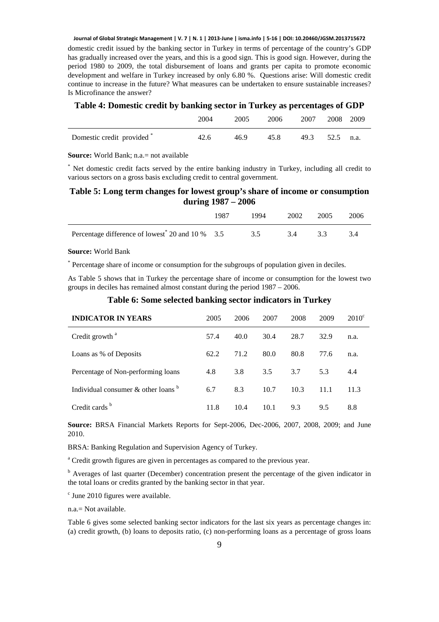domestic credit issued by the banking sector in Turkey in terms of percentage of the country's GDP has gradually increased over the years, and this is a good sign. This is good sign. However, during the period 1980 to 2009, the total disbursement of loans and grants per capita to promote economic development and welfare in Turkey increased by only 6.80 %. Questions arise: Will domestic credit continue to increase in the future? What measures can be undertaken to ensure sustainable increases? Is Microfinance the answer?

## **Table 4: Domestic credit by banking sector in Turkey as percentages of GDP**

|                            | 2004 | 2005 | 2006 | 2007           | 2008 2009 |  |
|----------------------------|------|------|------|----------------|-----------|--|
| Domestic credit provided * | 42.6 | 46.9 | 45.8 | 49.3 52.5 n.a. |           |  |

**Source:** World Bank; n.a.= not available

\* Net domestic credit facts served by the entire banking industry in Turkey, including all credit to various sectors on a gross basis excluding credit to central government.

# **Table 5: Long term changes for lowest group's share of income or consumption during 1987 – 2006**

|                                                              | 1987 | 1994 | 2002 | 2005 | 2006 |
|--------------------------------------------------------------|------|------|------|------|------|
| Percentage difference of lowest <sup>*</sup> 20 and 10 % 3.5 |      | 3.5  | 34   |      |      |

### **Source:** World Bank

\* Percentage share of income or consumption for the subgroups of population given in deciles.

As Table 5 shows that in Turkey the percentage share of income or consumption for the lowest two groups in deciles has remained almost constant during the period 1987 – 2006.

|  |  |  | Table 6: Some selected banking sector indicators in Turkey |  |
|--|--|--|------------------------------------------------------------|--|
|  |  |  |                                                            |  |

| <b>INDICATOR IN YEARS</b>                          | 2005 | 2006 | 2007          | 2008 | 2009 | $2010^{\circ}$ |
|----------------------------------------------------|------|------|---------------|------|------|----------------|
| Credit growth <sup>a</sup>                         | 57.4 | 40.0 | 30.4          | 28.7 | 32.9 | n.a.           |
| Loans as % of Deposits                             | 62.2 | 71.2 | 80.0          | 80.8 | 77.6 | n.a.           |
| Percentage of Non-performing loans                 | 4.8  | 3.8  | $3.5^{\circ}$ | 3.7  | 5.3  | 4.4            |
| Individual consumer $\&$ other loans $\frac{b}{b}$ | 6.7  | 8.3  | 10.7          | 10.3 | 11.1 | 11.3           |
| Credit cards <sup>b</sup>                          | 11.8 | 10.4 | 10.1          | 9.3  | 9.5  | 8.8            |

**Source:** BRSA Financial Markets Reports for Sept-2006, Dec-2006, 2007, 2008, 2009; and June 2010.

BRSA: Banking Regulation and Supervision Agency of Turkey.

<sup>a</sup> Credit growth figures are given in percentages as compared to the previous year.

<sup>b</sup> Averages of last quarter (December) concentration present the percentage of the given indicator in the total loans or credits granted by the banking sector in that year.

 $c$  June 2010 figures were available.

n.a.= Not available.

Table 6 gives some selected banking sector indicators for the last six years as percentage changes in: (a) credit growth, (b) loans to deposits ratio, (c) non-performing loans as a percentage of gross loans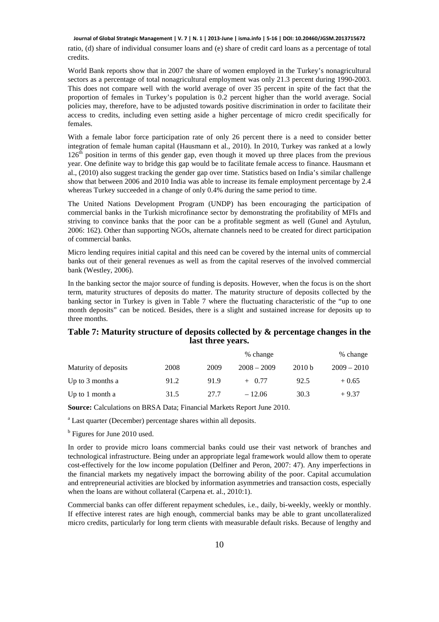ratio, (d) share of individual consumer loans and (e) share of credit card loans as a percentage of total credits.

World Bank reports show that in 2007 the share of women employed in the Turkey's nonagricultural sectors as a percentage of total nonagricultural employment was only 21.3 percent during 1990-2003. This does not compare well with the world average of over 35 percent in spite of the fact that the proportion of females in Turkey's population is 0.2 percent higher than the world average. Social policies may, therefore, have to be adjusted towards positive discrimination in order to facilitate their access to credits, including even setting aside a higher percentage of micro credit specifically for females.

With a female labor force participation rate of only 26 percent there is a need to consider better integration of female human capital (Hausmann et al., 2010). In 2010, Turkey was ranked at a lowly  $126<sup>th</sup>$  position in terms of this gender gap, even though it moved up three places from the previous year. One definite way to bridge this gap would be to facilitate female access to finance. Hausmann et al., (2010) also suggest tracking the gender gap over time. Statistics based on India's similar challenge show that between 2006 and 2010 India was able to increase its female employment percentage by 2.4 whereas Turkey succeeded in a change of only 0.4% during the same period to time.

The United Nations Development Program (UNDP) has been encouraging the participation of commercial banks in the Turkish microfinance sector by demonstrating the profitability of MFIs and striving to convince banks that the poor can be a profitable segment as well (Gunel and Aytulun, 2006: 162). Other than supporting NGOs, alternate channels need to be created for direct participation of commercial banks.

Micro lending requires initial capital and this need can be covered by the internal units of commercial banks out of their general revenues as well as from the capital reserves of the involved commercial bank (Westley, 2006).

In the banking sector the major source of funding is deposits. However, when the focus is on the short term, maturity structures of deposits do matter. The maturity structure of deposits collected by the banking sector in Turkey is given in Table 7 where the fluctuating characteristic of the "up to one month deposits" can be noticed. Besides, there is a slight and sustained increase for deposits up to three months.

## **Table 7: Maturity structure of deposits collected by & percentage changes in the last three years.**

|                      |      | % change |               |        |               |
|----------------------|------|----------|---------------|--------|---------------|
| Maturity of deposits | 2008 | 2009     | $2008 - 2009$ | 2010 b | $2009 - 2010$ |
| Up to $3$ months a   | 91.2 | 91.9     | $+$ 0.77      | 92.5   | $+0.65$       |
| Up to 1 month a      | 31.5 | 27.7     | $-12.06$      | 30.3   | $+9.37$       |

**Source:** Calculations on BRSA Data; Financial Markets Report June 2010.

<sup>a</sup> Last quarter (December) percentage shares within all deposits.

<sup>b</sup> Figures for June 2010 used.

In order to provide micro loans commercial banks could use their vast network of branches and technological infrastructure. Being under an appropriate legal framework would allow them to operate cost-effectively for the low income population (Delfiner and Peron, 2007: 47). Any imperfections in the financial markets my negatively impact the borrowing ability of the poor. Capital accumulation and entrepreneurial activities are blocked by information asymmetries and transaction costs, especially when the loans are without collateral (Carpena et. al., 2010:1).

Commercial banks can offer different repayment schedules, i.e., daily, bi-weekly, weekly or monthly. If effective interest rates are high enough, commercial banks may be able to grant uncollateralized micro credits, particularly for long term clients with measurable default risks. Because of lengthy and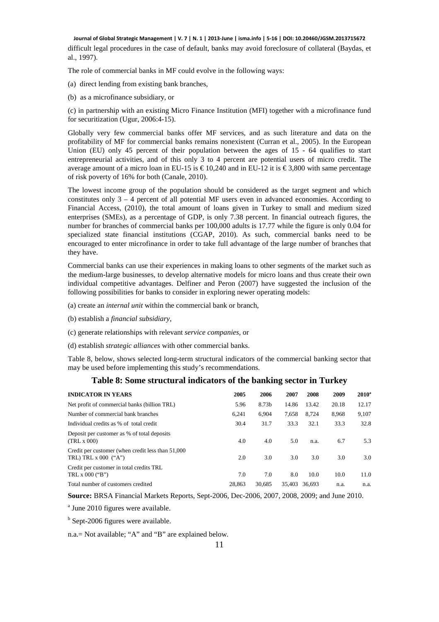difficult legal procedures in the case of default, banks may avoid foreclosure of collateral (Baydas, et al., 1997).

The role of commercial banks in MF could evolve in the following ways:

(a) direct lending from existing bank branches,

(b) as a microfinance subsidiary, or

(c) in partnership with an existing Micro Finance Institution (MFI) together with a microfinance fund for securitization (Ugur, 2006:4-15).

Globally very few commercial banks offer MF services, and as such literature and data on the profitability of MF for commercial banks remains nonexistent (Curran et al., 2005). In the European Union (EU) only 45 percent of their population between the ages of 15 - 64 qualifies to start entrepreneurial activities, and of this only 3 to 4 percent are potential users of micro credit. The average amount of a micro loan in EU-15 is  $\epsilon$  10,240 and in EU-12 it is  $\epsilon$  3,800 with same percentage of risk poverty of 16% for both (Canale, 2010).

The lowest income group of the population should be considered as the target segment and which constitutes only 3 – 4 percent of all potential MF users even in advanced economies. According to Financial Access, (2010), the total amount of loans given in Turkey to small and medium sized enterprises (SMEs), as a percentage of GDP, is only 7.38 percent. In financial outreach figures, the number for branches of commercial banks per 100,000 adults is 17.77 while the figure is only 0.04 for specialized state financial institutions (CGAP, 2010). As such, commercial banks need to be encouraged to enter microfinance in order to take full advantage of the large number of branches that they have.

Commercial banks can use their experiences in making loans to other segments of the market such as the medium-large businesses, to develop alternative models for micro loans and thus create their own individual competitive advantages. Delfiner and Peron (2007) have suggested the inclusion of the following possibilities for banks to consider in exploring newer operating models:

- (a) create an *internal unit* within the commercial bank or branch,
- (b) establish a *financial subsidiary*,
- (c) generate relationships with relevant *service companies,* or
- (d) establish *strategic alliances* with other commercial banks.

Table 8, below, shows selected long-term structural indicators of the commercial banking sector that may be used before implementing this study's recommendations.

#### **Table 8: Some structural indicators of the banking sector in Turkey**

| <b>INDICATOR IN YEARS</b>                                                     | 2005   | 2006   | 2007   | 2008   | 2009  | $2010^a$ |
|-------------------------------------------------------------------------------|--------|--------|--------|--------|-------|----------|
| Net profit of commercial banks (billion TRL)                                  | 5.96   | 8.73b  | 14.86  | 13.42  | 20.18 | 12.17    |
| Number of commercial bank branches                                            | 6.241  | 6.904  | 7,658  | 8,724  | 8,968 | 9,107    |
| Individual credits as % of total credit                                       | 30.4   | 31.7   | 33.3   | 32.1   | 33.3  | 32.8     |
| Deposit per customer as % of total deposits<br>(TRL x 000)                    | 4.0    | 4.0    | 5.0    | n.a.   | 6.7   | 5.3      |
| Credit per customer (when credit less than 51,000)<br>TRL) TRL $x$ 000 $(4x)$ | 2.0    | 3.0    | 3.0    | 3.0    | 3.0   | 3.0      |
| Credit per customer in total credits TRL<br>TRL $x$ 000 ("B")                 | 7.0    | 7.0    | 8.0    | 10.0   | 10.0  | 11.0     |
| Total number of customers credited                                            | 28.863 | 30.685 | 35.403 | 36.693 | n.a.  | n.a.     |

**Source:** BRSA Financial Markets Reports, Sept-2006, Dec-2006, 2007, 2008, 2009; and June 2010.

<sup>a</sup> June 2010 figures were available.

<sup>b</sup> Sept-2006 figures were available.

n.a.= Not available; "A" and "B" are explained below.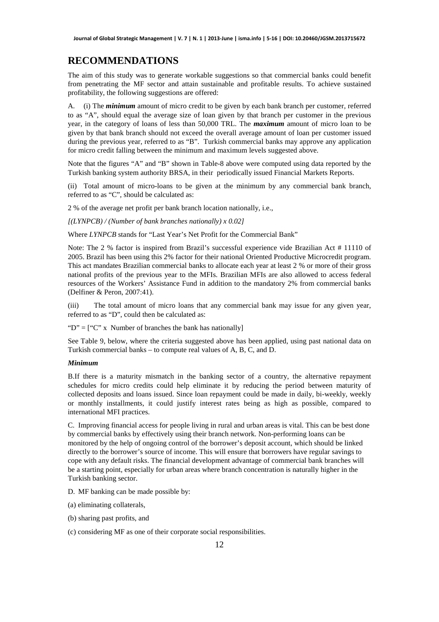# **RECOMMENDATIONS**

The aim of this study was to generate workable suggestions so that commercial banks could benefit from penetrating the MF sector and attain sustainable and profitable results. To achieve sustained profitability, the following suggestions are offered:

A. (i) The *minimum* amount of micro credit to be given by each bank branch per customer, referred to as "A", should equal the average size of loan given by that branch per customer in the previous year, in the category of loans of less than 50,000 TRL. The *maximum* amount of micro loan to be given by that bank branch should not exceed the overall average amount of loan per customer issued during the previous year, referred to as "B". Turkish commercial banks may approve any application for micro credit falling between the minimum and maximum levels suggested above.

Note that the figures "A" and "B" shown in Table-8 above were computed using data reported by the Turkish banking system authority BRSA, in their periodically issued Financial Markets Reports.

(ii) Total amount of micro-loans to be given at the minimum by any commercial bank branch, referred to as "C", should be calculated as:

2 % of the average net profit per bank branch location nationally, i.e.,

*[(LYNPCB) / (Number of bank branches nationally) x 0.02]* 

Where *LYNPCB* stands for "Last Year's Net Profit for the Commercial Bank"

Note: The 2 % factor is inspired from Brazil's successful experience vide Brazilian Act # 11110 of 2005. Brazil has been using this 2% factor for their national Oriented Productive Microcredit program. This act mandates Brazilian commercial banks to allocate each year at least 2 % or more of their gross national profits of the previous year to the MFIs. Brazilian MFIs are also allowed to access federal resources of the Workers' Assistance Fund in addition to the mandatory 2% from commercial banks (Delfiner & Peron, 2007:41).

(iii) The total amount of micro loans that any commercial bank may issue for any given year, referred to as "D", could then be calculated as:

"D" =  $['C''$  x Number of branches the bank has nationally

See Table 9, below, where the criteria suggested above has been applied, using past national data on Turkish commercial banks – to compute real values of A, B, C, and D.

#### *Minimum*

B.If there is a maturity mismatch in the banking sector of a country, the alternative repayment schedules for micro credits could help eliminate it by reducing the period between maturity of collected deposits and loans issued. Since loan repayment could be made in daily, bi-weekly, weekly or monthly installments, it could justify interest rates being as high as possible, compared to international MFI practices.

C. Improving financial access for people living in rural and urban areas is vital. This can be best done by commercial banks by effectively using their branch network. Non-performing loans can be monitored by the help of ongoing control of the borrower's deposit account, which should be linked directly to the borrower's source of income. This will ensure that borrowers have regular savings to cope with any default risks. The financial development advantage of commercial bank branches will be a starting point, especially for urban areas where branch concentration is naturally higher in the Turkish banking sector.

D. MF banking can be made possible by:

(a) eliminating collaterals,

(b) sharing past profits, and

(c) considering MF as one of their corporate social responsibilities.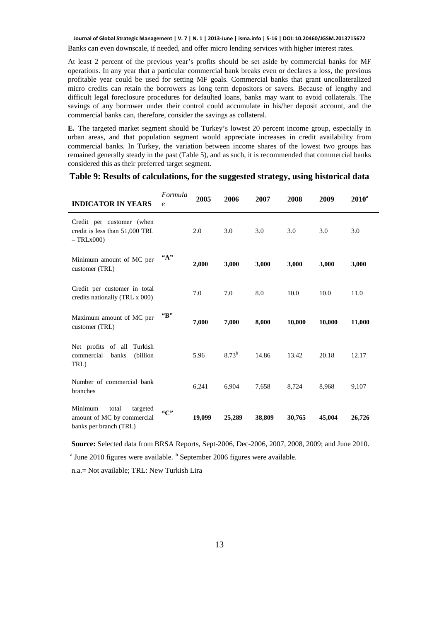Banks can even downscale, if needed, and offer micro lending services with higher interest rates.

At least 2 percent of the previous year's profits should be set aside by commercial banks for MF operations. In any year that a particular commercial bank breaks even or declares a loss, the previous profitable year could be used for setting MF goals. Commercial banks that grant uncollateralized micro credits can retain the borrowers as long term depositors or savers. Because of lengthy and difficult legal foreclosure procedures for defaulted loans, banks may want to avoid collaterals. The savings of any borrower under their control could accumulate in his/her deposit account, and the commercial banks can, therefore, consider the savings as collateral.

**E.** The targeted market segment should be Turkey's lowest 20 percent income group, especially in urban areas, and that population segment would appreciate increases in credit availability from commercial banks. In Turkey, the variation between income shares of the lowest two groups has remained generally steady in the past (Table 5), and as such, it is recommended that commercial banks considered this as their preferred target segment.

## **Table 9: Results of calculations, for the suggested strategy, using historical data**

| <b>INDICATOR IN YEARS</b>                                                            | Formula<br>e | 2005   | 2006       | 2007   | 2008   | 2009   | $2010^a$ |
|--------------------------------------------------------------------------------------|--------------|--------|------------|--------|--------|--------|----------|
| Credit per customer (when<br>credit is less than 51,000 TRL<br>$-$ TRL $x000$        |              | 2.0    | 3.0        | 3.0    | 3.0    | 3.0    | 3.0      |
| Minimum amount of MC per<br>customer (TRL)                                           | ``A"         | 2,000  | 3,000      | 3,000  | 3,000  | 3,000  | 3,000    |
| Credit per customer in total<br>credits nationally (TRL x 000)                       |              | 7.0    | 7.0        | 8.0    | 10.0   | 10.0   | 11.0     |
| Maximum amount of MC per<br>customer (TRL)                                           | "B"          | 7,000  | 7,000      | 8,000  | 10,000 | 10,000 | 11,000   |
| Net profits of all<br>Turkish<br>(billion<br>commercial<br>banks<br>TRL)             |              | 5.96   | $8.73^{b}$ | 14.86  | 13.42  | 20.18  | 12.17    |
| Number of commercial bank<br>branches                                                |              | 6,241  | 6,904      | 7,658  | 8,724  | 8,968  | 9,107    |
| Minimum<br>total<br>targeted<br>amount of MC by commercial<br>banks per branch (TRL) | ``C"         | 19,099 | 25,289     | 38,809 | 30,765 | 45,004 | 26,726   |

 **Source:** Selected data from BRSA Reports, Sept-2006, Dec-2006, 2007, 2008, 2009; and June 2010. <sup>a</sup> June 2010 figures were available. <sup>b</sup> September 2006 figures were available.

n.a.= Not available; TRL: New Turkish Lira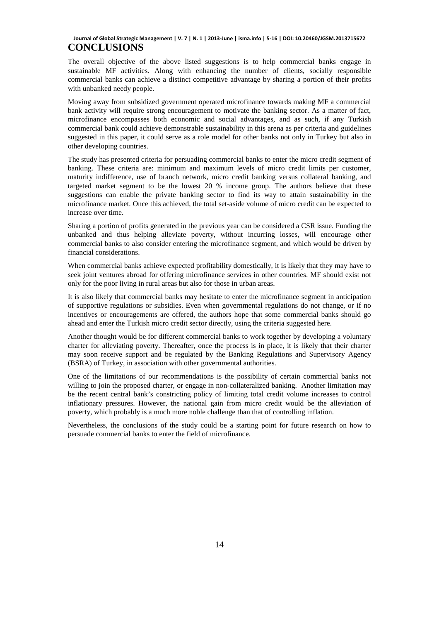The overall objective of the above listed suggestions is to help commercial banks engage in sustainable MF activities. Along with enhancing the number of clients, socially responsible commercial banks can achieve a distinct competitive advantage by sharing a portion of their profits with unbanked needy people.

Moving away from subsidized government operated microfinance towards making MF a commercial bank activity will require strong encouragement to motivate the banking sector. As a matter of fact, microfinance encompasses both economic and social advantages, and as such, if any Turkish commercial bank could achieve demonstrable sustainability in this arena as per criteria and guidelines suggested in this paper, it could serve as a role model for other banks not only in Turkey but also in other developing countries.

The study has presented criteria for persuading commercial banks to enter the micro credit segment of banking. These criteria are: minimum and maximum levels of micro credit limits per customer, maturity indifference, use of branch network, micro credit banking versus collateral banking, and targeted market segment to be the lowest 20 % income group. The authors believe that these suggestions can enable the private banking sector to find its way to attain sustainability in the microfinance market. Once this achieved, the total set-aside volume of micro credit can be expected to increase over time.

Sharing a portion of profits generated in the previous year can be considered a CSR issue. Funding the unbanked and thus helping alleviate poverty, without incurring losses, will encourage other commercial banks to also consider entering the microfinance segment, and which would be driven by financial considerations.

When commercial banks achieve expected profitability domestically, it is likely that they may have to seek joint ventures abroad for offering microfinance services in other countries. MF should exist not only for the poor living in rural areas but also for those in urban areas.

It is also likely that commercial banks may hesitate to enter the microfinance segment in anticipation of supportive regulations or subsidies. Even when governmental regulations do not change, or if no incentives or encouragements are offered, the authors hope that some commercial banks should go ahead and enter the Turkish micro credit sector directly, using the criteria suggested here.

Another thought would be for different commercial banks to work together by developing a voluntary charter for alleviating poverty. Thereafter, once the process is in place, it is likely that their charter may soon receive support and be regulated by the Banking Regulations and Supervisory Agency (BSRA) of Turkey, in association with other governmental authorities.

One of the limitations of our recommendations is the possibility of certain commercial banks not willing to join the proposed charter, or engage in non-collateralized banking. Another limitation may be the recent central bank's constricting policy of limiting total credit volume increases to control inflationary pressures. However, the national gain from micro credit would be the alleviation of poverty, which probably is a much more noble challenge than that of controlling inflation.

Nevertheless, the conclusions of the study could be a starting point for future research on how to persuade commercial banks to enter the field of microfinance.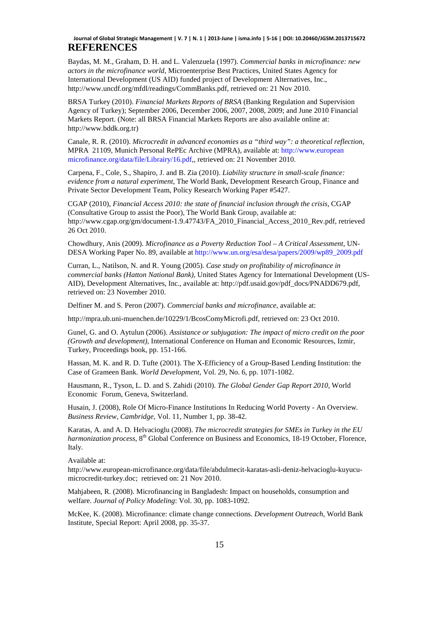Baydas, M. M., Graham, D. H. and L. Valenzuela (1997). *Commercial banks in microfinance: new actors in the microfinance world*, Microenterprise Best Practices, United States Agency for International Development (US AID) funded project of Development Alternatives, Inc., http://www.uncdf.org/mfdl/readings/CommBanks.pdf, retrieved on: 21 Nov 2010.

BRSA Turkey (2010). *Financial Markets Reports of BRSA* (Banking Regulation and Supervision Agency of Turkey); September 2006, December 2006, 2007, 2008, 2009; and June 2010 Financial Markets Report. (Note: all BRSA Financial Markets Reports are also available online at: http://www.bddk.org.tr)

Canale, R. R. (2010). *Microcredit in advanced economies as a "third way": a theoretical reflection*, MPRA 21109, Munich Personal RePEc Archive (MPRA), available at: http://www.european microfinance.org/data/file/Librairy/16.pdf,, retrieved on: 21 November 2010.

Carpena, F., Cole, S., Shapiro, J. and B. Zia (2010). *Liability structure in small-scale finance: evidence from a natural experiment,* The World Bank, Development Research Group, Finance and Private Sector Development Team, Policy Research Working Paper #5427.

CGAP (2010), *Financial Access 2010: the state of financial inclusion through the crisis*, CGAP (Consultative Group to assist the Poor), The World Bank Group, available at: http://www.cgap.org/gm/document-1.9.47743/FA\_2010\_Financial\_Access\_2010\_Rev.pdf, retrieved 26 Oct 2010.

Chowdhury, Anis (2009). *Microfinance as a Poverty Reduction Tool – A Critical Assessment*, UN-DESA Working Paper No. 89, available at http://www.un.org/esa/desa/papers/2009/wp89\_2009.pdf

Curran, L., Natilson, N. and R. Young (2005). *Case study on profitability of microfinance in commercial banks (Hatton National Bank)*, United States Agency for International Development (US-AID), Development Alternatives, Inc., available at: http://pdf.usaid.gov/pdf\_docs/PNADD679.pdf, retrieved on: 23 November 2010.

Delfiner M. and S. Peron (2007). *Commercial banks and microfinance*, available at:

http://mpra.ub.uni-muenchen.de/10229/1/BcosComyMicrofi.pdf, retrieved on: 23 Oct 2010.

Gunel, G. and O. Aytulun (2006). *Assistance or subjugation: The impact of micro credit on the poor (Growth and development),* International Conference on Human and Economic Resources, Izmir, Turkey, Proceedings book, pp. 151-166.

Hassan, M. K. and R. D. Tufte (2001). The X-Efficiency of a Group-Based Lending Institution: the Case of Grameen Bank. *World Development*, Vol. 29, No. 6, pp. 1071-1082.

Hausmann, R., Tyson, L. D. and S. Zahidi (2010). *The Global Gender Gap Report 2010*, World Economic Forum, Geneva, Switzerland.

Husain, J. (2008), Role Of Micro-Finance Institutions In Reducing World Poverty - An Overview*. Business Review, Cambridge,* Vol. 11, Number 1, pp. 38-42.

Karatas, A. and A. D. Helvacioglu (2008). *The microcredit strategies for SMEs in Turkey in the EU harmonization process*, 8<sup>th</sup> Global Conference on Business and Economics, 18-19 October, Florence, Italy.

Available at:

http://www.european-microfinance.org/data/file/abdulmecit-karatas-asli-deniz-helvacioglu-kuyucumicrocredit-turkey.doc; retrieved on: 21 Nov 2010.

Mahjabeen, R. (2008). Microfinancing in Bangladesh: Impact on households, consumption and welfare. *Journal of Policy Modeling*: Vol. 30, pp. 1083-1092.

McKee, K. (2008). Microfinance: climate change connections. *Development Outreach*, World Bank Institute, Special Report: April 2008, pp. 35-37.